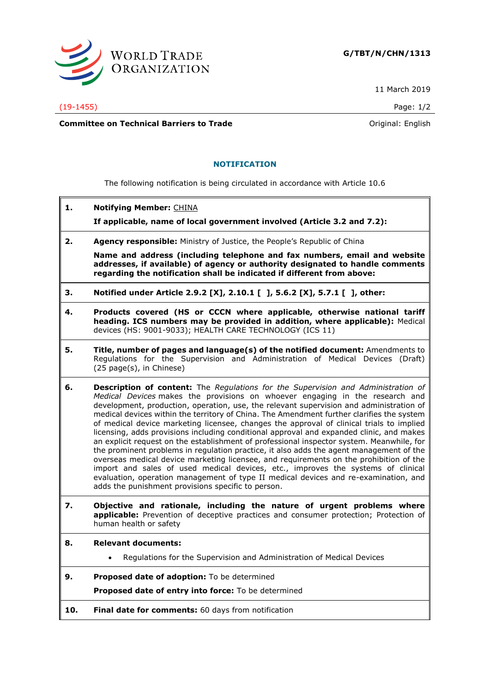

11 March 2019

**Committee on Technical Barriers to Trade Committee on Technical Barriers to Trade Original: English** 

## **NOTIFICATION**

The following notification is being circulated in accordance with Article 10.6

**1. Notifying Member:** CHINA

**If applicable, name of local government involved (Article 3.2 and 7.2):**

**2. Agency responsible:** Ministry of Justice, the People's Republic of China

**Name and address (including telephone and fax numbers, email and website addresses, if available) of agency or authority designated to handle comments regarding the notification shall be indicated if different from above:**

- **3. Notified under Article 2.9.2 [X], 2.10.1 [ ], 5.6.2 [X], 5.7.1 [ ], other:**
- **4. Products covered (HS or CCCN where applicable, otherwise national tariff heading. ICS numbers may be provided in addition, where applicable):** Medical devices (HS: 9001-9033); HEALTH CARE TECHNOLOGY (ICS 11)
- **5. Title, number of pages and language(s) of the notified document:** Amendments to Regulations for the Supervision and Administration of Medical Devices (Draft) (25 page(s), in Chinese)
- **6. Description of content:** The *Regulations for the Supervision and Administration of Medical Devices* makes the provisions on whoever engaging in the research and development, production, operation, use, the relevant supervision and administration of medical devices within the territory of China. The Amendment further clarifies the system of medical device marketing licensee, changes the approval of clinical trials to implied licensing, adds provisions including conditional approval and expanded clinic, and makes an explicit request on the establishment of professional inspector system. Meanwhile, for the prominent problems in regulation practice, it also adds the agent management of the overseas medical device marketing licensee, and requirements on the prohibition of the import and sales of used medical devices, etc., improves the systems of clinical evaluation, operation management of type II medical devices and re-examination, and adds the punishment provisions specific to person.
- **7. Objective and rationale, including the nature of urgent problems where applicable:** Prevention of deceptive practices and consumer protection; Protection of human health or safety
- **8. Relevant documents:**
	- Regulations for the Supervision and Administration of Medical Devices
- **9. Proposed date of adoption:** To be determined

**Proposed date of entry into force:** To be determined

**10. Final date for comments:** 60 days from notification